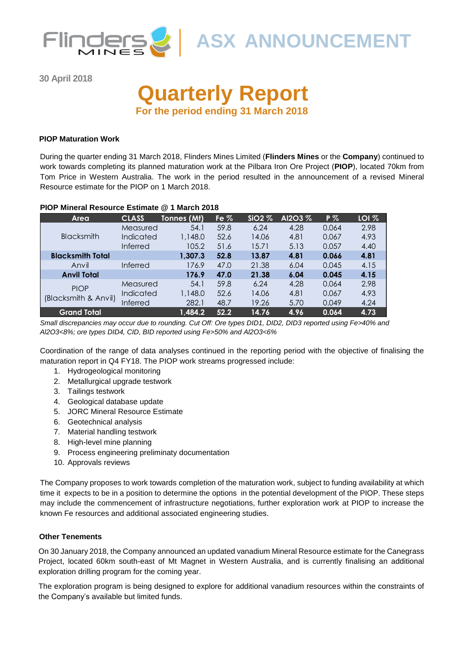

**ASX ANNOUNCEMENT**

**30 April 2018**

# **Quarterly Report For the period ending 31 March 2018**

#### **PIOP Maturation Work**

During the quarter ending 31 March 2018, Flinders Mines Limited (**Flinders Mines** or the **Company**) continued to work towards completing its planned maturation work at the Pilbara Iron Ore Project (**PIOP**), located 70km from Tom Price in Western Australia. The work in the period resulted in the announcement of a revised Mineral Resource estimate for the PIOP on 1 March 2018.

# Area Colassical Magnetic Company<br>
Measured 1.41 578  $\pm 224$  4.28  $0.064$  2.29<br>
Blacksmith Total Inferded 1.1480 52.6 140.6 4.81<br> **SiO2** 6.04 0.43 4.42<br> **Experiments** 1.507 47.0 13.37 4.42<br> **Arvill finders** 1.827 47.0 21.3 Measured 54.1 59.8 6.24 4.28 0.064 2.98 Indicated 1,148.0 52.6 14.06 4.81 0.067 4.93 Inferred 105.2 51.6 15.71 5.13 0.057 4.40 **Blacksmith Total 1,307.3 52.8 13.87 4.81 0.066 4.81** Anvil Inferred 176.9 47.0 21.38 6.04 0.045 4.15 **Anvil Total 176.9 47.0 21.38 6.04 0.045 4.15** Measured 54.1 59.8 6.24 4.28 0.064 2.98 Indicated 1,148.0 52.6 14.06 4.81 0.067 4.93 Inferred 282.1 48.7 19.26 5.70 0.049 4.24 **Grand Total 1,484.2 52.2 14.76 4.96 0.064 4.73** PIOP (Blacksmith & Anvil) Blacksmith

#### **PIOP Mineral Resource Estimate @ 1 March 2018**

*Small discrepancies may occur due to rounding. Cut Off: Ore types DID1, DID2, DID3 reported using Fe>40% and Al2O3<8%; ore types DID4, CID, BID reported using Fe>50% and Al2O3<6%*

Coordination of the range of data analyses continued in the reporting period with the objective of finalising the maturation report in Q4 FY18. The PIOP work streams progressed include:

- 1. Hydrogeological monitoring
- 2. Metallurgical upgrade testwork
- 3. Tailings testwork
- 4. Geological database update
- 5. JORC Mineral Resource Estimate
- 6. Geotechnical analysis
- 7. Material handling testwork
- 8. High-level mine planning
- 9. Process engineering preliminaty documentation
- 10. Approvals reviews

The Company proposes to work towards completion of the maturation work, subject to funding availability at which time it expects to be in a position to determine the options in the potential development of the PIOP. These steps may include the commencement of infrastructure negotiations, further exploration work at PIOP to increase the known Fe resources and additional associated engineering studies.

## **Other Tenements**

On 30 January 2018, the Company announced an updated vanadium Mineral Resource estimate for the Canegrass Project, located 60km south-east of Mt Magnet in Western Australia, and is currently finalising an additional exploration drilling program for the coming year.

The exploration program is being designed to explore for additional vanadium resources within the constraints of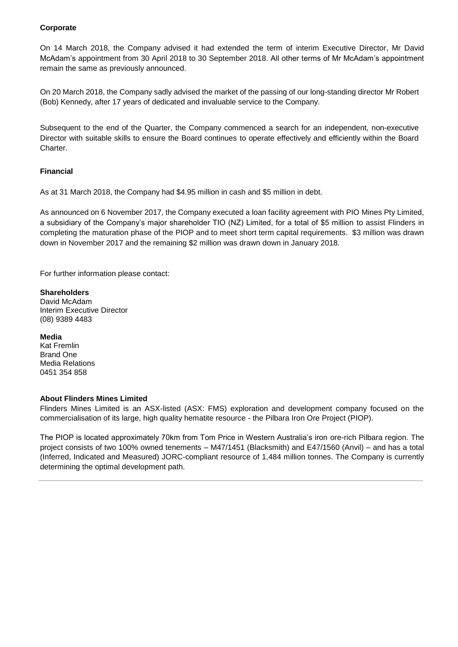## **Corporate**

On 14 March 2018, the Company advised it had extended the term of interim Executive Director, Mr David McAdam's appointment from 30 April 2018 to 30 September 2018. All other terms of Mr McAdam's appointment remain the same as previously announced.

On 20 March 2018, the Company sadly advised the market of the passing of our long-standing director Mr Robert (Bob) Kennedy, after 17 years of dedicated and invaluable service to the Company.

Subsequent to the end of the Quarter, the Company commenced a search for an independent, non-executive Director with suitable skills to ensure the Board continues to operate effectively and efficiently within the Board Charter.

## **Financial**

As at 31 March 2018, the Company had \$4.95 million in cash and \$5 million in debt.

As announced on 6 November 2017, the Company executed a loan facility agreement with PIO Mines Pty Limited, a subsidiary of the Company's major shareholder TIO (NZ) Limited, for a total of \$5 million to assist Flinders in completing the maturation phase of the PIOP and to meet short term capital requirements. \$3 million was drawn down in November 2017 and the remaining \$2 million was drawn down in January 2018.

For further information please contact:

#### **Shareholders**

David McAdam Interim Executive Director (08) 9389 4483

#### **Media**

Kat Fremlin Brand One Media Relations 0451 354 858

#### **About Flinders Mines Limited**

Flinders Mines Limited is an ASX-listed (ASX: FMS) exploration and development company focused on the commercialisation of its large, high quality hematite resource - the Pilbara Iron Ore Project (PIOP).

The PIOP is located approximately 70km from Tom Price in Western Australia's iron ore-rich Pilbara region. The project consists of two 100% owned tenements – M47/1451 (Blacksmith) and E47/1560 (Anvil) – and has a total (Inferred, Indicated and Measured) JORC-compliant resource of 1,484 million tonnes. The Company is currently determining the optimal development path.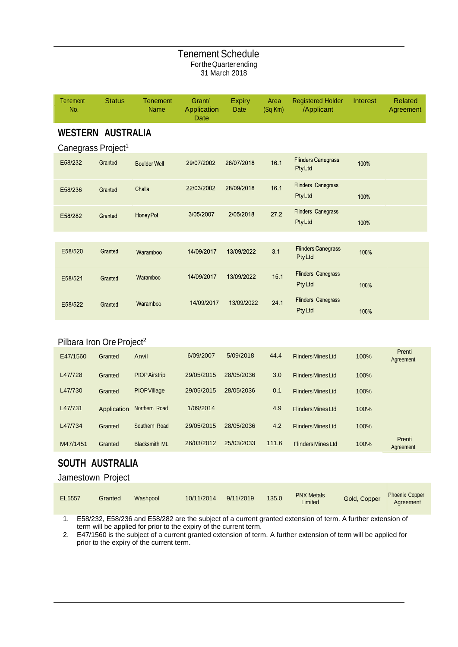# Tenement Schedule FortheQuarterending 31 March 2018

| Tenement<br>No.                | <b>Status</b> | <b>Tenement</b><br><b>Name</b> | Grant/<br>Application<br>Date | <b>Expiry</b><br>Date | Area<br>(Sq Km) | <b>Registered Holder</b><br>/Applicant     | Interest | <b>Related</b><br>Agreement |
|--------------------------------|---------------|--------------------------------|-------------------------------|-----------------------|-----------------|--------------------------------------------|----------|-----------------------------|
| <b>WESTERN AUSTRALIA</b>       |               |                                |                               |                       |                 |                                            |          |                             |
| Canegrass Project <sup>1</sup> |               |                                |                               |                       |                 |                                            |          |                             |
| E58/232                        | Granted       | <b>Boulder Well</b>            | 29/07/2002                    | 28/07/2018            | 16.1            | <b>Flinders Canegrass</b><br>PtyLtd        | 100%     |                             |
| E58/236                        | Granted       | Challa                         | 22/03/2002                    | 28/09/2018            | 16.1            | <b>Flinders Canegrass</b><br>PtyLtd        | 100%     |                             |
| E58/282                        | Granted       | Honey Pot                      | 3/05/2007                     | 2/05/2018             | 27.2            | <b>Flinders Canegrass</b><br>PtyLtd        | 100%     |                             |
|                                |               |                                |                               |                       |                 |                                            |          |                             |
| E58/520                        | Granted       | Waramboo                       | 14/09/2017                    | 13/09/2022            | 3.1             | <b>Flinders Canegrass</b><br><b>PtyLtd</b> | 100%     |                             |
| E58/521                        | Granted       | Waramboo                       | 14/09/2017                    | 13/09/2022            | 15.1            | <b>Flinders Canegrass</b><br><b>PtyLtd</b> | 100%     |                             |
| E58/522                        | Granted       | Waramboo                       | 14/09/2017                    | 13/09/2022            | 24.1            | <b>Flinders Canegrass</b><br><b>PtyLtd</b> | 100%     |                             |

# Pilbara Iron Ore Project<sup>2</sup>

| E47/1560 | Granted     | Anvil                | 6/09/2007  | 5/09/2018  | 44.4  | <b>Flinders Mines Ltd</b> | 100% | Prenti<br>Agreement |
|----------|-------------|----------------------|------------|------------|-------|---------------------------|------|---------------------|
| L47/728  | Granted     | <b>PIOP Airstrip</b> | 29/05/2015 | 28/05/2036 | 3.0   | <b>Flinders Mines Ltd</b> | 100% |                     |
| L47/730  | Granted     | <b>PIOPVillage</b>   | 29/05/2015 | 28/05/2036 | 0.1   | <b>Flinders Mines Ltd</b> | 100% |                     |
| L47/731  | Application | Northern Road        | 1/09/2014  |            | 4.9   | <b>Flinders Mines Ltd</b> | 100% |                     |
| L47/734  | Granted     | Southern Road        | 29/05/2015 | 28/05/2036 | 4.2   | <b>Flinders Mines Ltd</b> | 100% |                     |
| M47/1451 | Granted     | <b>Blacksmith ML</b> | 26/03/2012 | 25/03/2033 | 111.6 | <b>Flinders Mines Ltd</b> | 100% | Prenti<br>Agreement |

# **SOUTH AUSTRALIA**

# Jamestown Project

| EL5557 | Granted | Washpool | 10/11/2014 | 9/11/2019 | 135.0 | <b>PNX Metals</b><br>Limited | Gold, Copper | <b>Phoenix Copper</b><br>Agreement |
|--------|---------|----------|------------|-----------|-------|------------------------------|--------------|------------------------------------|
|--------|---------|----------|------------|-----------|-------|------------------------------|--------------|------------------------------------|

1. E58/232, E58/236 and E58/282 are the subject of a current granted extension of term. A further extension of term will be applied for prior to the expiry of the current term.

2. E47/1560 is the subject of a current granted extension of term. A further extension of term will be applied for prior to the expiry of the current term.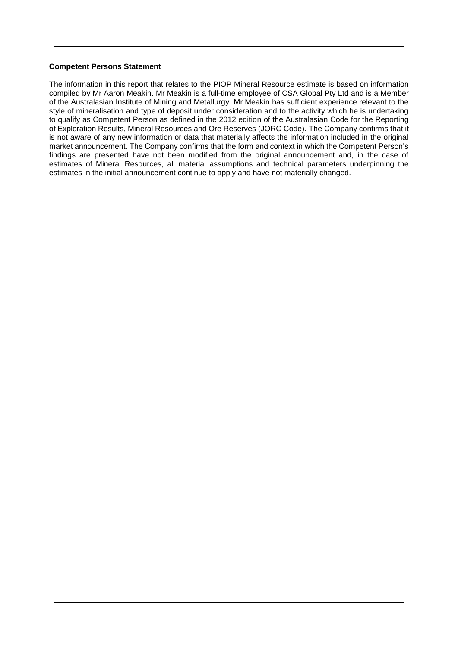#### **Competent Persons Statement**

The information in this report that relates to the PIOP Mineral Resource estimate is based on information compiled by Mr Aaron Meakin. Mr Meakin is a full-time employee of CSA Global Pty Ltd and is a Member of the Australasian Institute of Mining and Metallurgy. Mr Meakin has sufficient experience relevant to the style of mineralisation and type of deposit under consideration and to the activity which he is undertaking to qualify as Competent Person as defined in the 2012 edition of the Australasian Code for the Reporting of Exploration Results, Mineral Resources and Ore Reserves (JORC Code). The Company confirms that it is not aware of any new information or data that materially affects the information included in the original market announcement. The Company confirms that the form and context in which the Competent Person's findings are presented have not been modified from the original announcement and, in the case of estimates of Mineral Resources, all material assumptions and technical parameters underpinning the estimates in the initial announcement continue to apply and have not materially changed.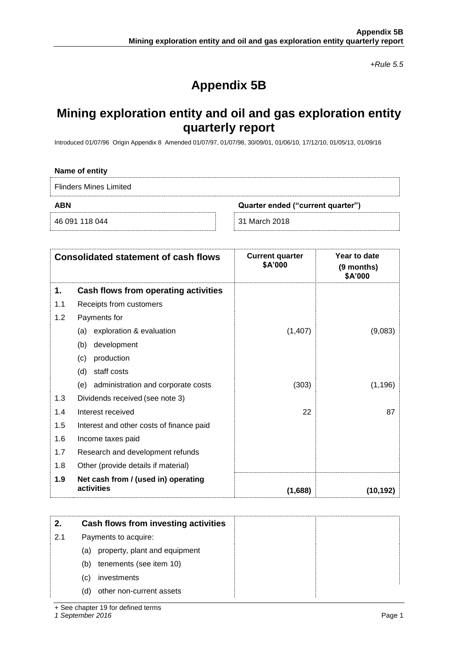*+Rule 5.5*

# **Appendix 5B**

# **Mining exploration entity and oil and gas exploration entity quarterly report**

Introduced 01/07/96 Origin Appendix 8 Amended 01/07/97, 01/07/98, 30/09/01, 01/06/10, 17/12/10, 01/05/13, 01/09/16

| Name of entity                |                                   |  |  |  |
|-------------------------------|-----------------------------------|--|--|--|
| <b>Flinders Mines Limited</b> |                                   |  |  |  |
| <b>ABN</b>                    | Quarter ended ("current quarter") |  |  |  |
| 46 091 118 044                | 31 March 2018                     |  |  |  |

|     | <b>Consolidated statement of cash flows</b>       | <b>Current quarter</b><br>\$A'000 | Year to date<br>(9 months)<br>\$A'000 |
|-----|---------------------------------------------------|-----------------------------------|---------------------------------------|
| 1.  | Cash flows from operating activities              |                                   |                                       |
| 1.1 | Receipts from customers                           |                                   |                                       |
| 1.2 | Payments for                                      |                                   |                                       |
|     | exploration & evaluation<br>(a)                   | (1,407)                           | (9,083)                               |
|     | (b)<br>development                                |                                   |                                       |
|     | production<br>(c)                                 |                                   |                                       |
|     | staff costs<br>(d)                                |                                   |                                       |
|     | administration and corporate costs<br>(e)         | (303)                             | (1, 196)                              |
| 1.3 | Dividends received (see note 3)                   |                                   |                                       |
| 1.4 | Interest received                                 | 22                                | 87                                    |
| 1.5 | Interest and other costs of finance paid          |                                   |                                       |
| 1.6 | Income taxes paid                                 |                                   |                                       |
| 1.7 | Research and development refunds                  |                                   |                                       |
| 1.8 | Other (provide details if material)               |                                   |                                       |
| 1.9 | Net cash from / (used in) operating<br>activities | (1,688)                           | (10, 192)                             |

|     | Cash flows from investing activities |
|-----|--------------------------------------|
| 2.1 | Payments to acquire:                 |
|     | property, plant and equipment<br>(a) |
|     | tenements (see item 10)<br>(b)       |
|     | investments<br>(C)                   |
|     | other non-current assets<br>(d)      |

+ See chapter 19 for defined terms

*1 September 2016* Page 1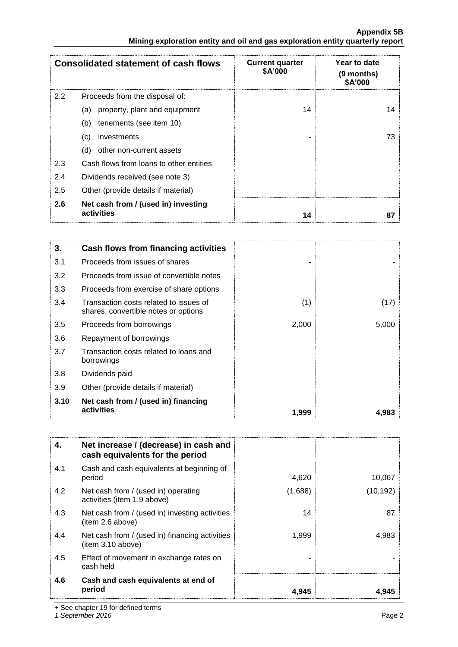|                                                                               | <b>Appendix 5B</b> |
|-------------------------------------------------------------------------------|--------------------|
| Mining exploration entity and oil and gas exploration entity quarterly report |                    |

|               | <b>Consolidated statement of cash flows</b> | <b>Current quarter</b><br>\$A'000 | Year to date<br>(9 months)<br>\$A'000 |
|---------------|---------------------------------------------|-----------------------------------|---------------------------------------|
| $2.2^{\circ}$ | Proceeds from the disposal of:              |                                   |                                       |
|               | property, plant and equipment<br>(a)        | 14                                | 14                                    |
|               | tenements (see item 10)<br>(b)              |                                   |                                       |
|               | investments<br>(c)                          |                                   | 73                                    |
|               | (d)<br>other non-current assets             |                                   |                                       |
| 2.3           | Cash flows from loans to other entities     |                                   |                                       |
| 2.4           | Dividends received (see note 3)             |                                   |                                       |
| 2.5           | Other (provide details if material)         |                                   |                                       |
| 2.6           | Net cash from / (used in) investing         |                                   |                                       |
|               | activities                                  | 14                                | 87                                    |

| 3.   | Cash flows from financing activities                                           |       |       |
|------|--------------------------------------------------------------------------------|-------|-------|
| 3.1  | Proceeds from issues of shares                                                 |       |       |
| 3.2  | Proceeds from issue of convertible notes                                       |       |       |
| 3.3  | Proceeds from exercise of share options                                        |       |       |
| 3.4  | Transaction costs related to issues of<br>shares, convertible notes or options | (1)   | (17)  |
| 3.5  | Proceeds from borrowings                                                       | 2,000 | 5,000 |
| 3.6  | Repayment of borrowings                                                        |       |       |
| 3.7  | Transaction costs related to loans and<br>borrowings                           |       |       |
| 3.8  | Dividends paid                                                                 |       |       |
| 3.9  | Other (provide details if material)                                            |       |       |
| 3.10 | Net cash from / (used in) financing<br>activities                              | 1,999 | 4.983 |

| 4.  | Net increase / (decrease) in cash and<br>cash equivalents for the period |         |           |
|-----|--------------------------------------------------------------------------|---------|-----------|
| 4.1 | Cash and cash equivalents at beginning of<br>period                      | 4,620   | 10,067    |
| 4.2 | Net cash from / (used in) operating<br>activities (item 1.9 above)       | (1,688) | (10, 192) |
| 4.3 | Net cash from / (used in) investing activities<br>(item 2.6 above)       | 14      | 87        |
| 4.4 | Net cash from / (used in) financing activities<br>item 3.10 above)       | 1,999   | 4,983     |
| 4.5 | Effect of movement in exchange rates on<br>cash held                     |         |           |
| 4.6 | Cash and cash equivalents at end of<br>period                            | 4.945   | 4.945     |

+ See chapter 19 for defined terms

*1 September 2016* Page 2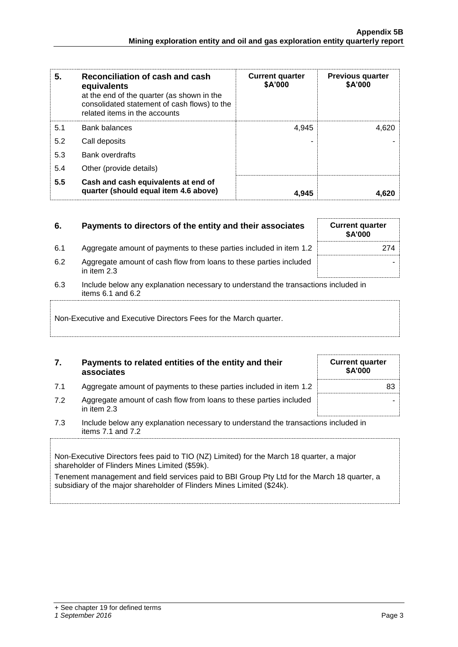| 5.  | Reconciliation of cash and cash<br>equivalents<br>at the end of the quarter (as shown in the<br>consolidated statement of cash flows) to the<br>related items in the accounts | <b>Current quarter</b><br>\$A'000 | <b>Previous quarter</b><br>\$A'000 |
|-----|-------------------------------------------------------------------------------------------------------------------------------------------------------------------------------|-----------------------------------|------------------------------------|
| 5.1 | Bank balances                                                                                                                                                                 | 4.945                             | 4.620                              |
| 5.2 | Call deposits                                                                                                                                                                 |                                   |                                    |
| 5.3 | <b>Bank overdrafts</b>                                                                                                                                                        |                                   |                                    |
| 5.4 | Other (provide details)                                                                                                                                                       |                                   |                                    |
| 5.5 | Cash and cash equivalents at end of<br>quarter (should equal item 4.6 above)                                                                                                  | 4.945                             |                                    |

| 6.   | Payments to directors of the entity and their associates                          | <b>Current quarter</b><br><b>\$A'000</b> |
|------|-----------------------------------------------------------------------------------|------------------------------------------|
| -6.1 | Aggregate amount of payments to these parties included in item 1.2                | 274                                      |
| 6.2  | Aggregate amount of cash flow from loans to these parties included<br>in item 2.3 |                                          |

6.3 Include below any explanation necessary to understand the transactions included in items 6.1 and 6.2

Non-Executive and Executive Directors Fees for the March quarter.

# **7. Payments to related entities of the entity and their associates**

- 7.1 Aggregate amount of payments to these parties included in item 1.2 83
- 7.2 Aggregate amount of cash flow from loans to these parties included in item 2.3
- 7.3 Include below any explanation necessary to understand the transactions included in items 7.1 and 7.2

Non-Executive Directors fees paid to TIO (NZ) Limited) for the March 18 quarter, a major shareholder of Flinders Mines Limited (\$59k).

Tenement management and field services paid to BBI Group Pty Ltd for the March 18 quarter, a subsidiary of the major shareholder of Flinders Mines Limited (\$24k).

**Current quarter \$A'000**

-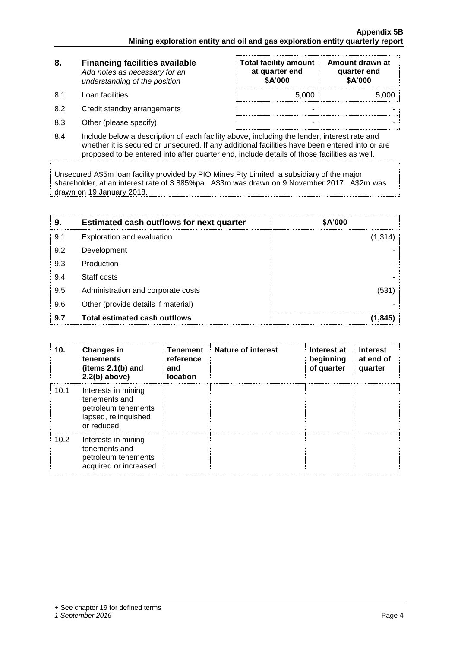| 8.  | <b>Financing facilities available</b><br>Add notes as necessary for an<br>understanding of the position | <b>Total facility amount</b><br>at quarter end<br>\$A'000 | Amount drawn at<br>quarter end<br>\$A'000 |
|-----|---------------------------------------------------------------------------------------------------------|-----------------------------------------------------------|-------------------------------------------|
| 8.1 | Loan facilities.                                                                                        | 5.000                                                     | 5,000                                     |
| 8.2 | Credit standby arrangements                                                                             | -                                                         |                                           |
| 8.3 | Other (please specify)                                                                                  | -                                                         |                                           |

8.4 Include below a description of each facility above, including the lender, interest rate and whether it is secured or unsecured. If any additional facilities have been entered into or are proposed to be entered into after quarter end, include details of those facilities as well.

Unsecured A\$5m loan facility provided by PIO Mines Pty Limited, a subsidiary of the major shareholder, at an interest rate of 3.885%pa. A\$3m was drawn on 9 November 2017. A\$2m was drawn on 19 January 2018.

| 9.  | <b>Estimated cash outflows for next quarter</b> | \$A'000 |
|-----|-------------------------------------------------|---------|
| 9.1 | Exploration and evaluation                      | (1,314) |
| 9.2 | Development                                     |         |
| 9.3 | Production                                      |         |
| 9.4 | Staff costs                                     |         |
| 9.5 | Administration and corporate costs              | (531)   |
| 9.6 | Other (provide details if material)             |         |
| 9.7 | <b>Total estimated cash outflows</b>            |         |

| 10.  | <b>Changes in</b><br>tenements<br>(items $2.1(b)$ and<br>$2.2(b)$ above)                          | <b>Tenement</b><br>reference<br>and<br><b>location</b> | <b>Nature of interest</b> | Interest at<br>beginning<br>of quarter | <b>Interest</b><br>at end of<br>quarter |
|------|---------------------------------------------------------------------------------------------------|--------------------------------------------------------|---------------------------|----------------------------------------|-----------------------------------------|
| 10.1 | Interests in mining<br>tenements and<br>petroleum tenements<br>lapsed, relinquished<br>or reduced |                                                        |                           |                                        |                                         |
| 10.2 | Interests in mining<br>tenements and<br>petroleum tenements<br>acquired or increased              |                                                        |                           |                                        |                                         |